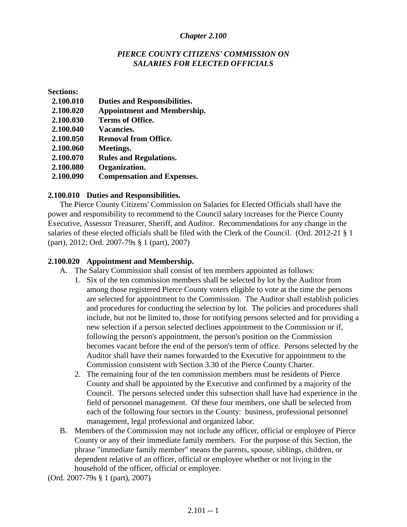### *Chapter 2.100*

### *PIERCE COUNTY CITIZENS' COMMISSION ON SALARIES FOR ELECTED OFFICIALS*

**Sections:**

| 2.100.010 | <b>Duties and Responsibilities.</b> |
|-----------|-------------------------------------|
| 2.100.020 | <b>Appointment and Membership.</b>  |
| 2.100.030 | <b>Terms of Office.</b>             |
| 2.100.040 | <b>Vacancies.</b>                   |
| 2.100.050 | <b>Removal from Office.</b>         |
| 2.100.060 | Meetings.                           |
| 2.100.070 | <b>Rules and Regulations.</b>       |
| 2.100.080 | Organization.                       |
| 2.100.090 | <b>Compensation and Expenses.</b>   |

### **2.100.010 Duties and Responsibilities.**

The Pierce County Citizens' Commission on Salaries for Elected Officials shall have the power and responsibility to recommend to the Council salary increases for the Pierce County Executive, Assessor Treasurer, Sheriff, and Auditor. Recommendations for any change in the salaries of these elected officials shall be filed with the Clerk of the Council. (Ord. 2012-21 § 1 (part), 2012; Ord. 2007-79s § 1 (part), 2007)

### **2.100.020 Appointment and Membership.**

- A. The Salary Commission shall consist of ten members appointed as follows:
	- 1. Six of the ten commission members shall be selected by lot by the Auditor from among those registered Pierce County voters eligible to vote at the time the persons are selected for appointment to the Commission. The Auditor shall establish policies and procedures for conducting the selection by lot. The policies and procedures shall include, but not be limited to, those for notifying persons selected and for providing a new selection if a person selected declines appointment to the Commission or if, following the person's appointment, the person's position on the Commission becomes vacant before the end of the person's term of office. Persons selected by the Auditor shall have their names forwarded to the Executive for appointment to the Commission consistent with Section 3.30 of the Pierce County Charter.
	- 2. The remaining four of the ten commission members must be residents of Pierce County and shall be appointed by the Executive and confirmed by a majority of the Council. The persons selected under this subsection shall have had experience in the field of personnel management. Of these four members, one shall be selected from each of the following four sectors in the County: business, professional personnel management, legal professional and organized labor.
- B. Members of the Commission may not include any officer, official or employee of Pierce County or any of their immediate family members. For the purpose of this Section, the phrase "immediate family member" means the parents, spouse, siblings, children, or dependent relative of an officer, official or employee whether or not living in the household of the officer, official or employee.

(Ord. 2007-79s § 1 (part), 2007)

 $2.101 - 1$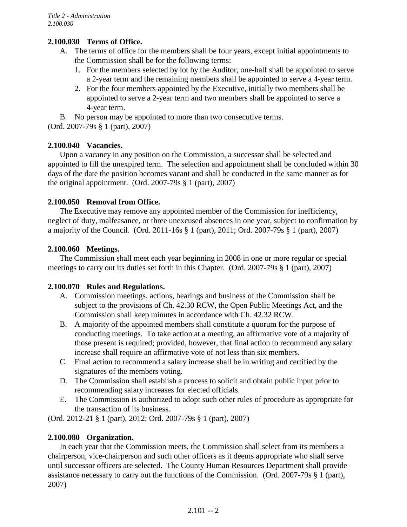# **2.100.030 Terms of Office.**

- A. The terms of office for the members shall be four years, except initial appointments to the Commission shall be for the following terms:
	- 1. For the members selected by lot by the Auditor, one-half shall be appointed to serve a 2-year term and the remaining members shall be appointed to serve a 4-year term.
	- 2. For the four members appointed by the Executive, initially two members shall be appointed to serve a 2-year term and two members shall be appointed to serve a 4-year term.

B. No person may be appointed to more than two consecutive terms.

(Ord. 2007-79s § 1 (part), 2007)

## **2.100.040 Vacancies.**

Upon a vacancy in any position on the Commission, a successor shall be selected and appointed to fill the unexpired term. The selection and appointment shall be concluded within 30 days of the date the position becomes vacant and shall be conducted in the same manner as for the original appointment. (Ord. 2007-79s § 1 (part), 2007)

## **2.100.050 Removal from Office.**

The Executive may remove any appointed member of the Commission for inefficiency, neglect of duty, malfeasance, or three unexcused absences in one year, subject to confirmation by a majority of the Council. (Ord. 2011-16s § 1 (part), 2011; Ord. 2007-79s § 1 (part), 2007)

## **2.100.060 Meetings.**

The Commission shall meet each year beginning in 2008 in one or more regular or special meetings to carry out its duties set forth in this Chapter. (Ord. 2007-79s § 1 (part), 2007)

### **2.100.070 Rules and Regulations.**

- A. Commission meetings, actions, hearings and business of the Commission shall be subject to the provisions of Ch. 42.30 RCW, the Open Public Meetings Act, and the Commission shall keep minutes in accordance with Ch. 42.32 RCW.
- B. A majority of the appointed members shall constitute a quorum for the purpose of conducting meetings. To take action at a meeting, an affirmative vote of a majority of those present is required; provided, however, that final action to recommend any salary increase shall require an affirmative vote of not less than six members.
- C. Final action to recommend a salary increase shall be in writing and certified by the signatures of the members voting.
- D. The Commission shall establish a process to solicit and obtain public input prior to recommending salary increases for elected officials.
- E. The Commission is authorized to adopt such other rules of procedure as appropriate for the transaction of its business.

(Ord. 2012-21 § 1 (part), 2012; Ord. 2007-79s § 1 (part), 2007)

### **2.100.080 Organization.**

In each year that the Commission meets, the Commission shall select from its members a chairperson, vice-chairperson and such other officers as it deems appropriate who shall serve until successor officers are selected. The County Human Resources Department shall provide assistance necessary to carry out the functions of the Commission. (Ord. 2007-79s § 1 (part), 2007)